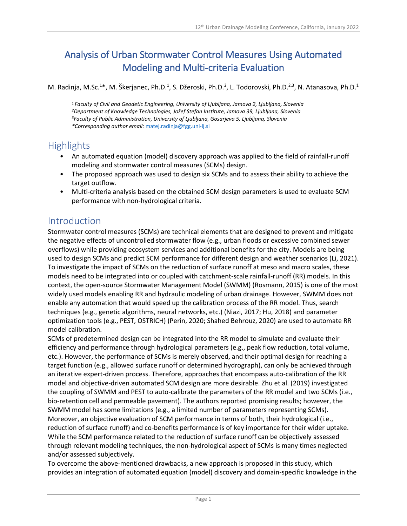# Analysis of Urban Stormwater Control Measures Using Automated Modeling and Multi-criteria Evaluation

M. Radinja, M.Sc.<sup>1\*</sup>, M. Škerjanec, Ph.D.<sup>1</sup>, S. Džeroski, Ph.D.<sup>2</sup>, L. Todorovski, Ph.D.<sup>2,3</sup>, N. Atanasova, Ph.D.<sup>1</sup>

 *Faculty of Civil and Geodetic Engineering, University of Ljubljana, Jamova 2, Ljubljana, Slovenia Department of Knowledge Technologies, Jožef Stefan Institute, Jamova 39, Ljubljana, Slovenia Faculty of Public Administration, University of Ljubljana, Gosarjeva 5, Ljubljana, Slovenia \*Corresponding author email:* [matej.radinja@fgg.uni-lj.si](mailto:matej.radinja@fgg.uni-lj.si)

### **Highlights**

- An automated equation (model) discovery approach was applied to the field of rainfall-runoff modeling and stormwater control measures (SCMs) design.
- The proposed approach was used to design six SCMs and to assess their ability to achieve the target outflow.
- Multi-criteria analysis based on the obtained SCM design parameters is used to evaluate SCM performance with non-hydrological criteria.

### Introduction

Stormwater control measures (SCMs) are technical elements that are designed to prevent and mitigate the negative effects of uncontrolled stormwater flow (e.g., urban floods or excessive combined sewer overflows) while providing ecosystem services and additional benefits for the city. Models are being used to design SCMs and predict SCM performance for different design and weather scenarios (Li, 2021). To investigate the impact of SCMs on the reduction of surface runoff at meso and macro scales, these models need to be integrated into or coupled with catchment-scale rainfall-runoff (RR) models. In this context, the open-source Stormwater Management Model (SWMM) (Rosmann, 2015) is one of the most widely used models enabling RR and hydraulic modeling of urban drainage. However, SWMM does not enable any automation that would speed up the calibration process of the RR model. Thus, search techniques (e.g., genetic algorithms, neural networks, etc.) (Niazi, 2017; Hu, 2018) and parameter optimization tools (e.g., PEST, OSTRICH) (Perin, 2020; Shahed Behrouz, 2020) are used to automate RR model calibration.

SCMs of predetermined design can be integrated into the RR model to simulate and evaluate their efficiency and performance through hydrological parameters (e.g., peak flow reduction, total volume, etc.). However, the performance of SCMs is merely observed, and their optimal design for reaching a target function (e.g., allowed surface runoff or determined hydrograph), can only be achieved through an iterative expert-driven process. Therefore, approaches that encompass auto-calibration of the RR model and objective-driven automated SCM design are more desirable. Zhu et al. (2019) investigated the coupling of SWMM and PEST to auto-calibrate the parameters of the RR model and two SCMs (i.e., bio-retention cell and permeable pavement). The authors reported promising results; however, the SWMM model has some limitations (e.g., a limited number of parameters representing SCMs). Moreover, an objective evaluation of SCM performance in terms of both, their hydrological (i.e., reduction of surface runoff) and co-benefits performance is of key importance for their wider uptake. While the SCM performance related to the reduction of surface runoff can be objectively assessed through relevant modeling techniques, the non-hydrological aspect of SCMs is many times neglected and/or assessed subjectively.

To overcome the above-mentioned drawbacks, a new approach is proposed in this study, which provides an integration of automated equation (model) discovery and domain-specific knowledge in the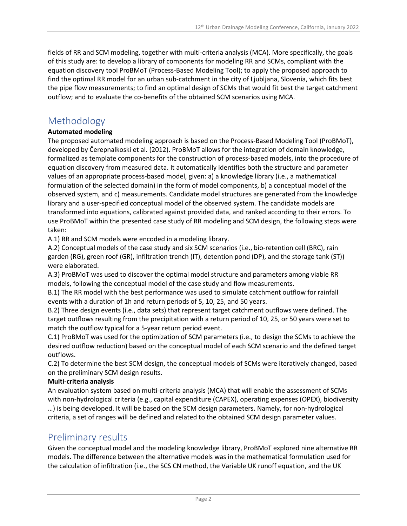fields of RR and SCM modeling, together with multi-criteria analysis (MCA). More specifically, the goals of this study are: to develop a library of components for modeling RR and SCMs, compliant with the equation discovery tool ProBMoT (Process-Based Modeling Tool); to apply the proposed approach to find the optimal RR model for an urban sub-catchment in the city of Ljubljana, Slovenia, which fits best the pipe flow measurements; to find an optimal design of SCMs that would fit best the target catchment outflow; and to evaluate the co-benefits of the obtained SCM scenarios using MCA.

### Methodology

#### **Automated modeling**

The proposed automated modeling approach is based on the Process-Based Modeling Tool (ProBMoT), developed by Čerepnalkoski et al. (2012). ProBMoT allows for the integration of domain knowledge, formalized as template components for the construction of process-based models, into the procedure of equation discovery from measured data. It automatically identifies both the structure and parameter values of an appropriate process-based model, given: a) a knowledge library (i.e., a mathematical formulation of the selected domain) in the form of model components, b) a conceptual model of the observed system, and c) measurements. Candidate model structures are generated from the knowledge library and a user-specified conceptual model of the observed system. The candidate models are transformed into equations, calibrated against provided data, and ranked according to their errors. To use ProBMoT within the presented case study of RR modeling and SCM design, the following steps were taken:

A.1) RR and SCM models were encoded in a modeling library.

A.2) Conceptual models of the case study and six SCM scenarios (i.e., bio-retention cell (BRC), rain garden (RG), green roof (GR), infiltration trench (IT), detention pond (DP), and the storage tank (ST)) were elaborated.

A.3) ProBMoT was used to discover the optimal model structure and parameters among viable RR models, following the conceptual model of the case study and flow measurements.

B.1) The RR model with the best performance was used to simulate catchment outflow for rainfall events with a duration of 1h and return periods of 5, 10, 25, and 50 years.

B.2) Three design events (i.e., data sets) that represent target catchment outflows were defined. The target outflows resulting from the precipitation with a return period of 10, 25, or 50 years were set to match the outflow typical for a 5-year return period event.

C.1) ProBMoT was used for the optimization of SCM parameters (i.e., to design the SCMs to achieve the desired outflow reduction) based on the conceptual model of each SCM scenario and the defined target outflows.

C.2) To determine the best SCM design, the conceptual models of SCMs were iteratively changed, based on the preliminary SCM design results.

#### **Multi-criteria analysis**

An evaluation system based on multi-criteria analysis (MCA) that will enable the assessment of SCMs with non-hydrological criteria (e.g., capital expenditure (CAPEX), operating expenses (OPEX), biodiversity …) is being developed. It will be based on the SCM design parameters. Namely, for non-hydrological criteria, a set of ranges will be defined and related to the obtained SCM design parameter values.

### Preliminary results

Given the conceptual model and the modeling knowledge library, ProBMoT explored nine alternative RR models. The difference between the alternative models was in the mathematical formulation used for the calculation of infiltration (i.e., the SCS CN method, the Variable UK runoff equation, and the UK